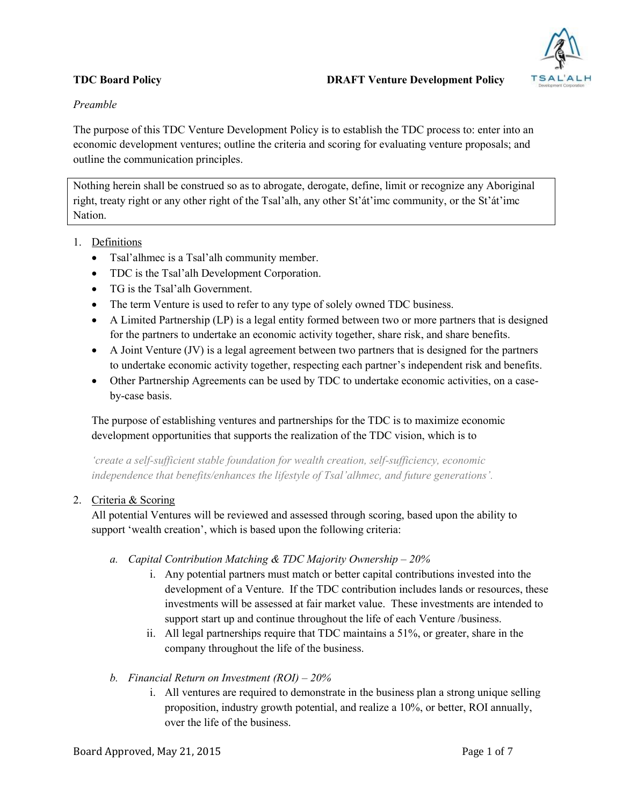

# *Preamble*

The purpose of this TDC Venture Development Policy is to establish the TDC process to: enter into an economic development ventures; outline the criteria and scoring for evaluating venture proposals; and outline the communication principles.

Nothing herein shall be construed so as to abrogate, derogate, define, limit or recognize any Aboriginal right, treaty right or any other right of the Tsal'alh, any other St'át'imc community, or the St'át'imc Nation.

- 1. Definitions
	- Tsal'alhmec is a Tsal'alh community member.
	- TDC is the Tsal'alh Development Corporation.
	- TG is the Tsal'alh Government.
	- The term Venture is used to refer to any type of solely owned TDC business.
	- A Limited Partnership (LP) is a legal entity formed between two or more partners that is designed for the partners to undertake an economic activity together, share risk, and share benefits.
	- $\bullet$  A Joint Venture (JV) is a legal agreement between two partners that is designed for the partners to undertake economic activity together, respecting each partner's independent risk and benefits.
	- Other Partnership Agreements can be used by TDC to undertake economic activities, on a caseby-case basis.

The purpose of establishing ventures and partnerships for the TDC is to maximize economic development opportunities that supports the realization of the TDC vision, which is to

*'create a self-sufficient stable foundation for wealth creation, self-sufficiency, economic independence that benefits/enhances the lifestyle of Tsal'alhmec, and future generations'.* 

#### 2. Criteria & Scoring

All potential Ventures will be reviewed and assessed through scoring, based upon the ability to support 'wealth creation', which is based upon the following criteria:

- *a. Capital Contribution Matching & TDC Majority Ownership – 20%*
	- i. Any potential partners must match or better capital contributions invested into the development of a Venture. If the TDC contribution includes lands or resources, these investments will be assessed at fair market value. These investments are intended to support start up and continue throughout the life of each Venture /business.
	- ii. All legal partnerships require that TDC maintains a 51%, or greater, share in the company throughout the life of the business.
- *b. Financial Return on Investment (ROI) – 20%*
	- i. All ventures are required to demonstrate in the business plan a strong unique selling proposition, industry growth potential, and realize a 10%, or better, ROI annually, over the life of the business.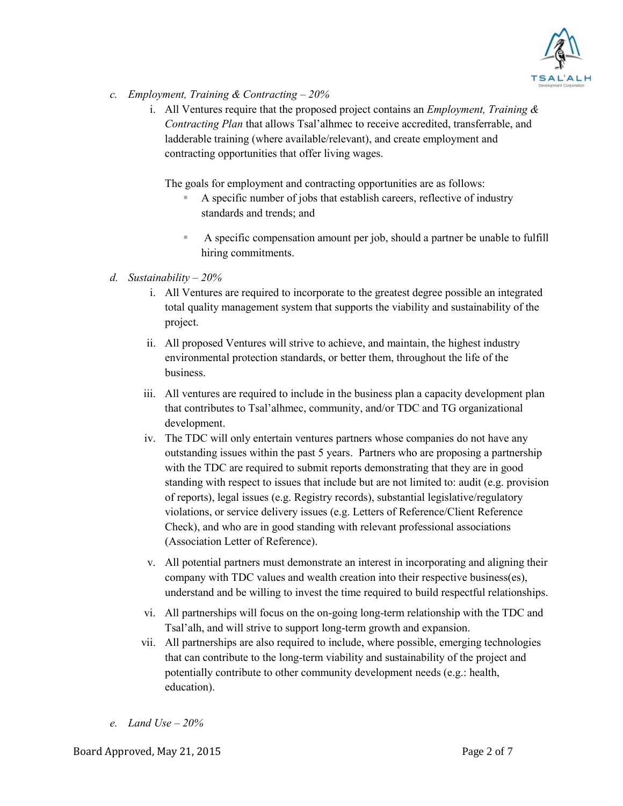

- *c. Employment, Training & Contracting – 20%* 
	- i. All Ventures require that the proposed project contains an *Employment, Training & Contracting Plan* that allows Tsal'alhmec to receive accredited, transferrable, and ladderable training (where available/relevant), and create employment and contracting opportunities that offer living wages.

The goals for employment and contracting opportunities are as follows:

- A specific number of jobs that establish careers, reflective of industry standards and trends; and
- A specific compensation amount per job, should a partner be unable to fulfill hiring commitments.

#### *d. Sustainability – 20%*

- i. All Ventures are required to incorporate to the greatest degree possible an integrated total quality management system that supports the viability and sustainability of the project.
- ii. All proposed Ventures will strive to achieve, and maintain, the highest industry environmental protection standards, or better them, throughout the life of the business.
- iii. All ventures are required to include in the business plan a capacity development plan that contributes to Tsal'alhmec, community, and/or TDC and TG organizational development.
- iv. The TDC will only entertain ventures partners whose companies do not have any outstanding issues within the past 5 years. Partners who are proposing a partnership with the TDC are required to submit reports demonstrating that they are in good standing with respect to issues that include but are not limited to: audit (e.g. provision of reports), legal issues (e.g. Registry records), substantial legislative/regulatory violations, or service delivery issues (e.g. Letters of Reference/Client Reference Check), and who are in good standing with relevant professional associations (Association Letter of Reference).
- v. All potential partners must demonstrate an interest in incorporating and aligning their company with TDC values and wealth creation into their respective business(es), understand and be willing to invest the time required to build respectful relationships.
- vi. All partnerships will focus on the on-going long-term relationship with the TDC and Tsal'alh, and will strive to support long-term growth and expansion.
- vii. All partnerships are also required to include, where possible, emerging technologies that can contribute to the long-term viability and sustainability of the project and potentially contribute to other community development needs (e.g.: health, education).
- *e. Land Use – 20%*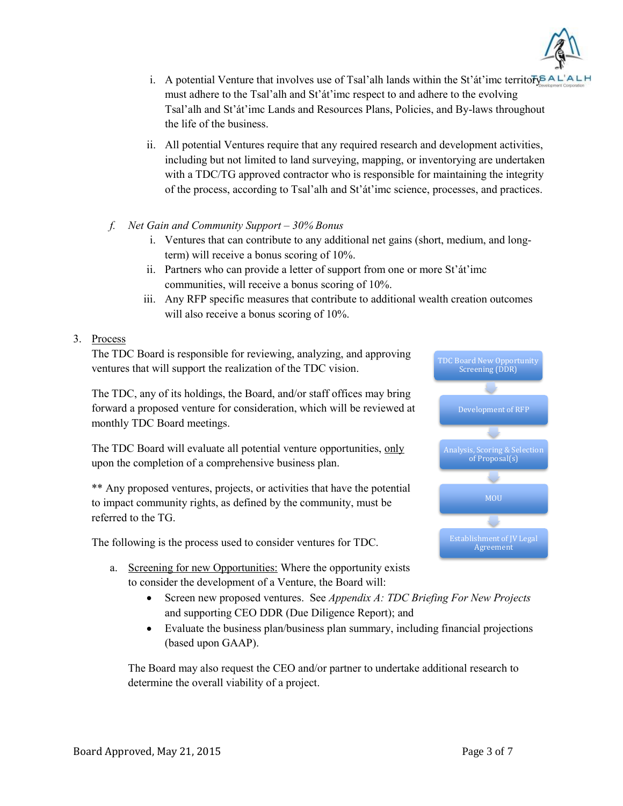

- i. A potential Venture that involves use of Tsal'alh lands within the St'at'imc territor  $\sqrt{P} A L^{\dagger} A L^{\dagger}$ must adhere to the Tsal'alh and St'át'imc respect to and adhere to the evolving Tsal'alh and St'át'imc Lands and Resources Plans, Policies, and By-laws throughout the life of the business.
- ii. All potential Ventures require that any required research and development activities, including but not limited to land surveying, mapping, or inventorying are undertaken with a TDC/TG approved contractor who is responsible for maintaining the integrity of the process, according to Tsal'alh and St'át'imc science, processes, and practices.
- *f. Net Gain and Community Support – 30% Bonus*
	- i. Ventures that can contribute to any additional net gains (short, medium, and longterm) will receive a bonus scoring of 10%.
	- ii. Partners who can provide a letter of support from one or more St'át'imc communities, will receive a bonus scoring of 10%.
	- iii. Any RFP specific measures that contribute to additional wealth creation outcomes will also receive a bonus scoring of 10%.

# 3. Process

The TDC Board is responsible for reviewing, analyzing, and approving ventures that will support the realization of the TDC vision.

The TDC, any of its holdings, the Board, and/or staff offices may bring forward a proposed venture for consideration, which will be reviewed at monthly TDC Board meetings.

The TDC Board will evaluate all potential venture opportunities, only upon the completion of a comprehensive business plan.

\*\* Any proposed ventures, projects, or activities that have the potential to impact community rights, as defined by the community, must be referred to the TG.

The following is the process used to consider ventures for TDC.

- a. Screening for new Opportunities: Where the opportunity exists to consider the development of a Venture, the Board will:
	- Screen new proposed ventures. See *Appendix A: TDC Briefing For New Projects* and supporting CEO DDR (Due Diligence Report); and
	- Evaluate the business plan/business plan summary, including financial projections (based upon GAAP).

The Board may also request the CEO and/or partner to undertake additional research to determine the overall viability of a project.

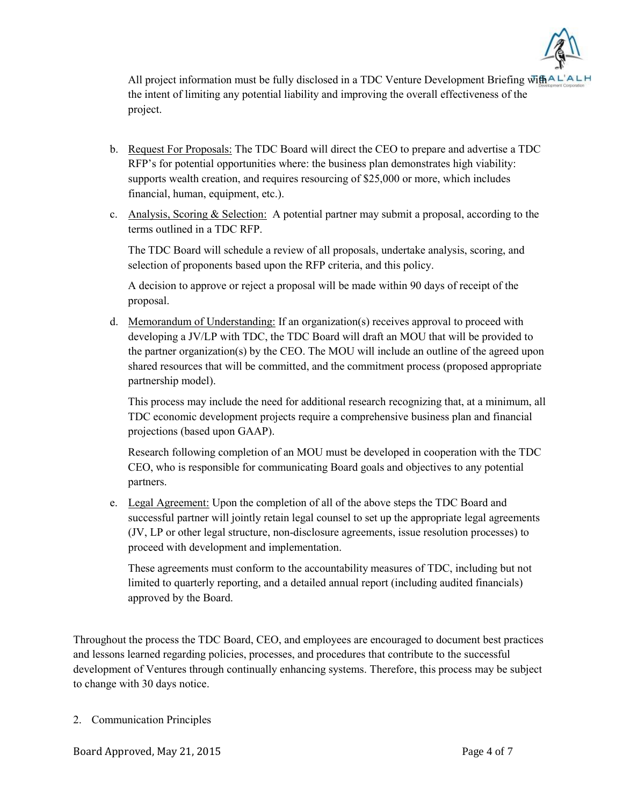

All project information must be fully disclosed in a TDC Venture Development Briefing  $\overline{wh}$ AL<sup> $\overline{AL}$ </sup> the intent of limiting any potential liability and improving the overall effectiveness of the project.

- b. Request For Proposals: The TDC Board will direct the CEO to prepare and advertise a TDC RFP's for potential opportunities where: the business plan demonstrates high viability: supports wealth creation, and requires resourcing of \$25,000 or more, which includes financial, human, equipment, etc.).
- c. Analysis, Scoring & Selection: A potential partner may submit a proposal, according to the terms outlined in a TDC RFP.

The TDC Board will schedule a review of all proposals, undertake analysis, scoring, and selection of proponents based upon the RFP criteria, and this policy.

A decision to approve or reject a proposal will be made within 90 days of receipt of the proposal.

d. Memorandum of Understanding: If an organization(s) receives approval to proceed with developing a JV/LP with TDC, the TDC Board will draft an MOU that will be provided to the partner organization(s) by the CEO. The MOU will include an outline of the agreed upon shared resources that will be committed, and the commitment process (proposed appropriate partnership model).

This process may include the need for additional research recognizing that, at a minimum, all TDC economic development projects require a comprehensive business plan and financial projections (based upon GAAP).

Research following completion of an MOU must be developed in cooperation with the TDC CEO, who is responsible for communicating Board goals and objectives to any potential partners.

e. Legal Agreement: Upon the completion of all of the above steps the TDC Board and successful partner will jointly retain legal counsel to set up the appropriate legal agreements (JV, LP or other legal structure, non-disclosure agreements, issue resolution processes) to proceed with development and implementation.

These agreements must conform to the accountability measures of TDC, including but not limited to quarterly reporting, and a detailed annual report (including audited financials) approved by the Board.

Throughout the process the TDC Board, CEO, and employees are encouraged to document best practices and lessons learned regarding policies, processes, and procedures that contribute to the successful development of Ventures through continually enhancing systems. Therefore, this process may be subject to change with 30 days notice.

2. Communication Principles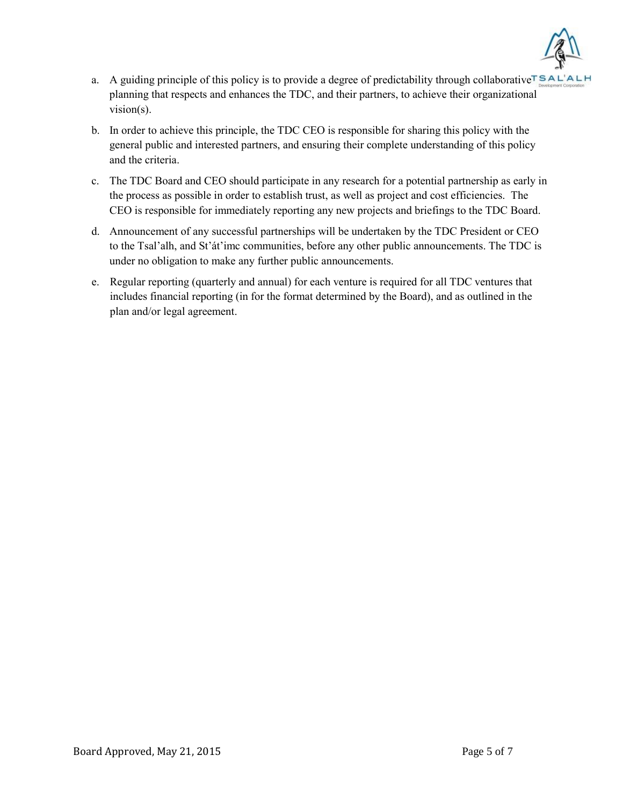

- a. A guiding principle of this policy is to provide a degree of predictability through collaborative  $T S A L' A L H$ planning that respects and enhances the TDC, and their partners, to achieve their organizational vision(s).
- b. In order to achieve this principle, the TDC CEO is responsible for sharing this policy with the general public and interested partners, and ensuring their complete understanding of this policy and the criteria.
- c. The TDC Board and CEO should participate in any research for a potential partnership as early in the process as possible in order to establish trust, as well as project and cost efficiencies. The CEO is responsible for immediately reporting any new projects and briefings to the TDC Board.
- d. Announcement of any successful partnerships will be undertaken by the TDC President or CEO to the Tsal'alh, and St'át'imc communities, before any other public announcements. The TDC is under no obligation to make any further public announcements.
- e. Regular reporting (quarterly and annual) for each venture is required for all TDC ventures that includes financial reporting (in for the format determined by the Board), and as outlined in the plan and/or legal agreement.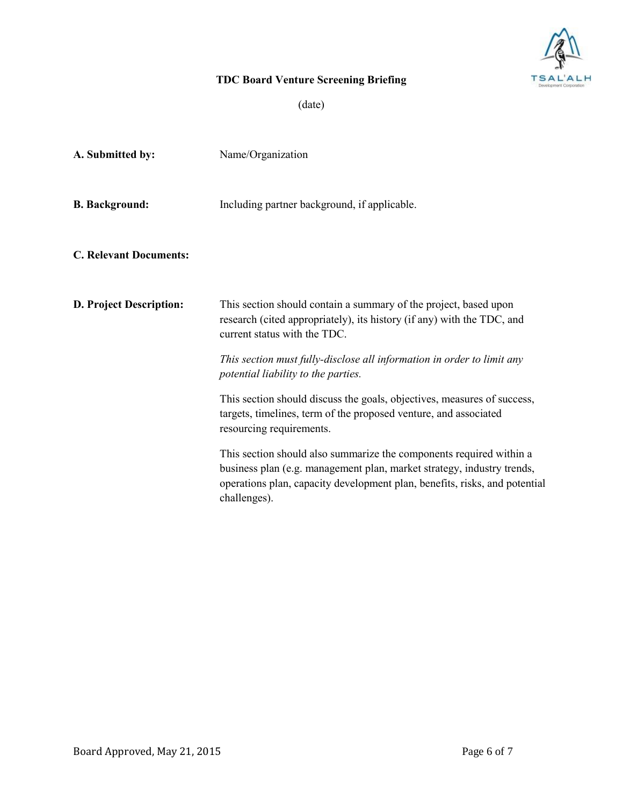

# TDC Board Venture Screening Briefing

(date)

| A. Submitted by:               | Name/Organization                                                                                                                                                                                                                           |
|--------------------------------|---------------------------------------------------------------------------------------------------------------------------------------------------------------------------------------------------------------------------------------------|
| <b>B.</b> Background:          | Including partner background, if applicable.                                                                                                                                                                                                |
| <b>C. Relevant Documents:</b>  |                                                                                                                                                                                                                                             |
| <b>D. Project Description:</b> | This section should contain a summary of the project, based upon<br>research (cited appropriately), its history (if any) with the TDC, and<br>current status with the TDC.                                                                  |
|                                | This section must fully-disclose all information in order to limit any<br>potential liability to the parties.                                                                                                                               |
|                                | This section should discuss the goals, objectives, measures of success,<br>targets, timelines, term of the proposed venture, and associated<br>resourcing requirements.                                                                     |
|                                | This section should also summarize the components required within a<br>business plan (e.g. management plan, market strategy, industry trends,<br>operations plan, capacity development plan, benefits, risks, and potential<br>challenges). |